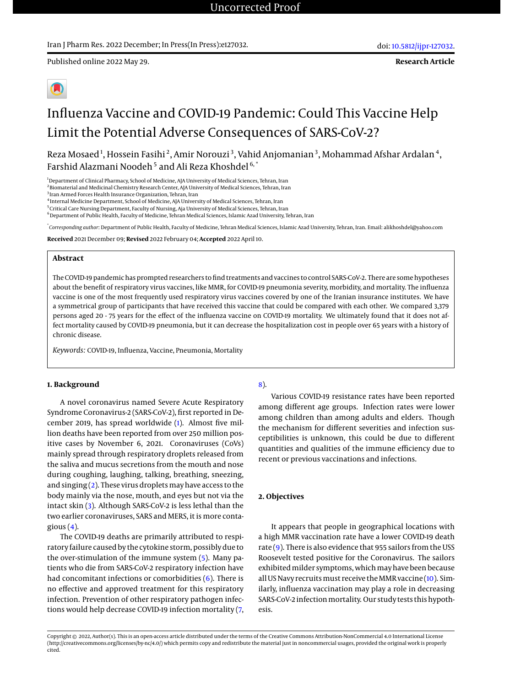Published online 2022 May 29.

**Research Article**



# Influenza Vaccine and COVID-19 Pandemic: Could This Vaccine Help Limit the Potential Adverse Consequences of SARS-CoV-2?

Reza Mosaed $^1$ , Hossein Fasihi $^2$ , Amir Norouzi $^3$ , Vahid Anjomanian $^3$ , Mohammad Afshar Ardalan $^4$ , Farshid Alazmani Noodeh<sup>5</sup> and Ali Reza Khoshdel 6,\*

<sup>1</sup>Department of Clinical Pharmacy, School of Medicine, AJA University of Medical Sciences, Tehran, Iran

 $^{\rm 2}$ Biomaterial and Medicinal Chemistry Research Center, AJA University of Medical Sciences, Tehran, Iran

<sup>3</sup> Iran Armed Forces Health Insurance Organization, Tehran, Iran

4 Internal Medicine Department, School of Medicine, AJA University of Medical Sciences, Tehran, Iran

<sup>5</sup> Critical Care Nursing Department, Faculty of Nursing, Aja University of Medical Sciences, Tehran, Iran

 $6$ Department of Public Health, Faculty of Medicine, Tehran Medical Sciences, Islamic Azad University, Tehran, Iran

\* *Corresponding author*: Department of Public Health, Faculty of Medicine, Tehran Medical Sciences, Islamic Azad University, Tehran, Iran. Email: alikhoshdel@yahoo.com

**Received** 2021 December 09; **Revised** 2022 February 04; **Accepted** 2022 April 10.

#### **Abstract**

The COVID-19 pandemic has prompted researchers to find treatments and vaccines to control SARS-CoV-2. There are some hypotheses about the benefit of respiratory virus vaccines, like MMR, for COVID-19 pneumonia severity, morbidity, and mortality. The influenza vaccine is one of the most frequently used respiratory virus vaccines covered by one of the Iranian insurance institutes. We have a symmetrical group of participants that have received this vaccine that could be compared with each other. We compared 3,379 persons aged 20 - 75 years for the effect of the influenza vaccine on COVID-19 mortality. We ultimately found that it does not affect mortality caused by COVID-19 pneumonia, but it can decrease the hospitalization cost in people over 65 years with a history of chronic disease.

*Keywords:* COVID-19, Influenza, Vaccine, Pneumonia, Mortality

#### **1. Background**

A novel coronavirus named Severe Acute Respiratory Syndrome Coronavirus-2 (SARS-CoV-2), first reported in December 2019, has spread worldwide [\(1\)](#page-5-0). Almost five million deaths have been reported from over 250 million positive cases by November 6, 2021. Coronaviruses (CoVs) mainly spread through respiratory droplets released from the saliva and mucus secretions from the mouth and nose during coughing, laughing, talking, breathing, sneezing, and singing  $(2)$ . These virus droplets may have access to the body mainly via the nose, mouth, and eyes but not via the intact skin [\(3\)](#page-5-2). Although SARS-CoV-2 is less lethal than the two earlier coronaviruses, SARS and MERS, it is more contagious  $(4)$ .

The COVID-19 deaths are primarily attributed to respiratory failure caused by the cytokine storm, possibly due to the over-stimulation of the immune system [\(5\)](#page-5-4). Many patients who die from SARS-CoV-2 respiratory infection have had concomitant infections or comorbidities [\(6\)](#page-5-5). There is no effective and approved treatment for this respiratory infection. Prevention of other respiratory pathogen infections would help decrease COVID-19 infection mortality [\(7,](#page-5-6) [8\)](#page-5-7).

Various COVID-19 resistance rates have been reported among different age groups. Infection rates were lower among children than among adults and elders. Though the mechanism for different severities and infection susceptibilities is unknown, this could be due to different quantities and qualities of the immune efficiency due to recent or previous vaccinations and infections.

#### **2. Objectives**

It appears that people in geographical locations with a high MMR vaccination rate have a lower COVID-19 death rate [\(9\)](#page-5-8). There is also evidence that 955 sailors from the USS Roosevelt tested positive for the Coronavirus. The sailors exhibited milder symptoms, which may have been because all US Navy recruits must receive the MMR vaccine [\(10\)](#page-5-9). Similarly, influenza vaccination may play a role in decreasing SARS-CoV-2 infection mortality. Our study tests this hypothesis.

Copyright © 2022, Author(s). This is an open-access article distributed under the terms of the Creative Commons Attribution-NonCommercial 4.0 International License (http://creativecommons.org/licenses/by-nc/4.0/) which permits copy and redistribute the material just in noncommercial usages, provided the original work is properly cited.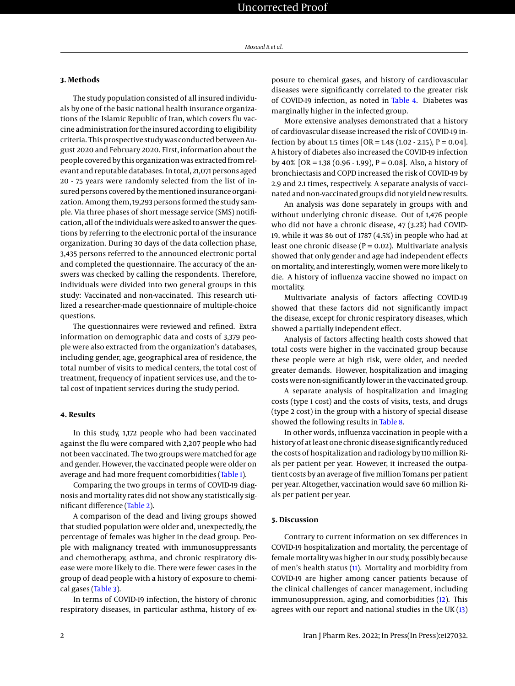#### **3. Methods**

The study population consisted of all insured individuals by one of the basic national health insurance organizations of the Islamic Republic of Iran, which covers flu vaccine administration for the insured according to eligibility criteria. This prospective study was conducted between August 2020 and February 2020. First, information about the people covered by this organization was extracted from relevant and reputable databases. In total, 21,071 persons aged 20 - 75 years were randomly selected from the list of insured persons covered by the mentioned insurance organization. Among them, 19,293 persons formed the study sample. Via three phases of short message service (SMS) notification, all of the individuals were asked to answer the questions by referring to the electronic portal of the insurance organization. During 30 days of the data collection phase, 3,435 persons referred to the announced electronic portal and completed the questionnaire. The accuracy of the answers was checked by calling the respondents. Therefore, individuals were divided into two general groups in this study: Vaccinated and non-vaccinated. This research utilized a researcher-made questionnaire of multiple-choice questions.

The questionnaires were reviewed and refined. Extra information on demographic data and costs of 3,379 people were also extracted from the organization's databases, including gender, age, geographical area of residence, the total number of visits to medical centers, the total cost of treatment, frequency of inpatient services use, and the total cost of inpatient services during the study period.

#### **4. Results**

In this study, 1,172 people who had been vaccinated against the flu were compared with 2,207 people who had not been vaccinated. The two groups were matched for age and gender. However, the vaccinated people were older on average and had more frequent comorbidities [\(Table 1\)](#page-2-0).

Comparing the two groups in terms of COVID-19 diagnosis and mortality rates did not show any statistically significant difference [\(Table 2\)](#page-2-1).

A comparison of the dead and living groups showed that studied population were older and, unexpectedly, the percentage of females was higher in the dead group. People with malignancy treated with immunosuppressants and chemotherapy, asthma, and chronic respiratory disease were more likely to die. There were fewer cases in the group of dead people with a history of exposure to chemical gases [\(Table 3\)](#page-2-2).

In terms of COVID-19 infection, the history of chronic respiratory diseases, in particular asthma, history of exposure to chemical gases, and history of cardiovascular diseases were significantly correlated to the greater risk of COVID-19 infection, as noted in [Table 4.](#page-3-0) Diabetes was marginally higher in the infected group.

More extensive analyses demonstrated that a history of cardiovascular disease increased the risk of COVID-19 infection by about 1.5 times  $[OR = 1.48 (1.02 - 2.15), P = 0.04]$ . A history of diabetes also increased the COVID-19 infection by  $40\%$  [OR = 1.38 (0.96 - 1.99), P = 0.08]. Also, a history of bronchiectasis and COPD increased the risk of COVID-19 by 2.9 and 2.1 times, respectively. A separate analysis of vaccinated and non-vaccinated groups did not yield new results.

An analysis was done separately in groups with and without underlying chronic disease. Out of 1,476 people who did not have a chronic disease, 47 (3.2%) had COVID-19, while it was 86 out of 1787 (4.5%) in people who had at least one chronic disease ( $P = 0.02$ ). Multivariate analysis showed that only gender and age had independent effects on mortality, and interestingly, women were more likely to die. A history of influenza vaccine showed no impact on mortality.

Multivariate analysis of factors affecting COVID-19 showed that these factors did not significantly impact the disease, except for chronic respiratory diseases, which showed a partially independent effect.

Analysis of factors affecting health costs showed that total costs were higher in the vaccinated group because these people were at high risk, were older, and needed greater demands. However, hospitalization and imaging costs were non-significantly lower in the vaccinated group.

A separate analysis of hospitalization and imaging costs (type 1 cost) and the costs of visits, tests, and drugs (type 2 cost) in the group with a history of special disease showed the following results in [Table 8.](#page-4-0)

In other words, influenza vaccination in people with a history of at least one chronic disease significantly reduced the costs of hospitalization and radiology by 110 million Rials per patient per year. However, it increased the outpatient costs by an average of five million Tomans per patient per year. Altogether, vaccination would save 60 million Rials per patient per year.

#### **5. Discussion**

Contrary to current information on sex differences in COVID-19 hospitalization and mortality, the percentage of female mortality was higher in our study, possibly because of men's health status [\(11\)](#page-5-10). Mortality and morbidity from COVID-19 are higher among cancer patients because of the clinical challenges of cancer management, including immunosuppression, aging, and comorbidities [\(12\)](#page-5-11). This agrees with our report and national studies in the UK $(13)$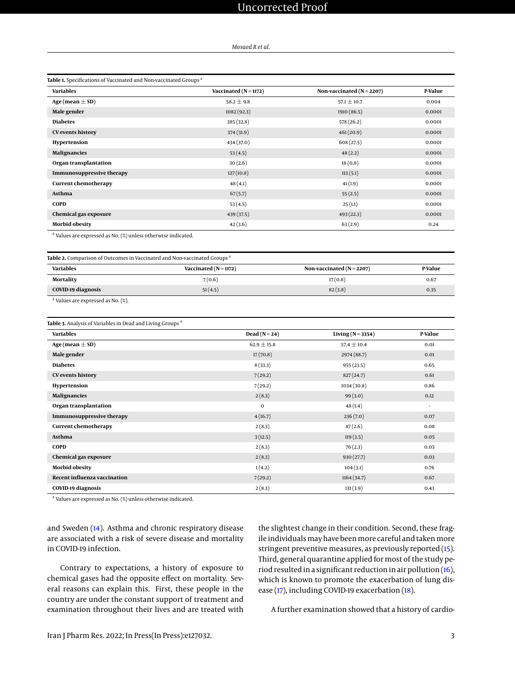# Uncorrected Proof

#### *Mosaed R et al.*

<span id="page-2-0"></span>

| <b>Variables</b>                 | Vaccinated ( $N = 1172$ ) | Non-vaccinated ( $N = 2207$ ) | <b>P-Value</b> |
|----------------------------------|---------------------------|-------------------------------|----------------|
| Age (mean $\pm$ SD)              | $58.2 \pm 9.8$            | $57.1 \pm 10.7$               | 0.004          |
| Male gender                      | 1082(92.3)                | 1910 (86.5)                   | 0.0001         |
| <b>Diabetes</b>                  | 385 (32.8)                | 578 (26.2)                    | 0.0001         |
| <b>CV</b> events history         | 374 (31.9)                | 461(20.9)                     | 0.0001         |
| Hypertension                     | 434 (37.0)                | 608(27.5)                     | 0.0001         |
| <b>Malignancies</b>              | 53(4.5)                   | 48(2.2)                       | 0.0001         |
| Organ transplantation            | 30(2.6)                   | 18(0.8)                       | 0.0001         |
| <b>Immunosuppressive therapy</b> | 127(10.8)                 | 113(5.1)                      | 0.0001         |
| <b>Current chemotherapy</b>      | 48(4.1)                   | 41(1.9)                       | 0.0001         |
| Asthma                           | 67(5.7)                   | 55(2.5)                       | 0.0001         |
| <b>COPD</b>                      | 53(4.5)                   | 25(1.1)                       | 0.0001         |
| Chemical gas exposure            | 439 (37.5)                | 493(22.3)                     | 0.0001         |
| <b>Morbid obesity</b>            | 42(3.6)                   | 63(2.9)                       | 0.24           |

<span id="page-2-1"></span>

| Table 2. Comparison of Outcomes in Vaccinated and Non-vaccinated Groups <sup>a</sup> |                           |                               |         |  |  |  |
|--------------------------------------------------------------------------------------|---------------------------|-------------------------------|---------|--|--|--|
| <b>Variables</b>                                                                     | Vaccinated ( $N = 1172$ ) | Non-vaccinated ( $N = 2207$ ) | P-Value |  |  |  |
| Mortality                                                                            | 7(0.6)                    | 17(0.8)                       | 0.67    |  |  |  |
| COVID-19 diagnosis                                                                   | 51(4.5)                   | 82(3.8)                       | 0.35    |  |  |  |
|                                                                                      |                           |                               |         |  |  |  |

<sup>a</sup> Values are expressed as No. (%).

<span id="page-2-2"></span>

| Table 3. Analysis of Variables in Dead and Living Groups <sup>a</sup> |                   |                       |         |  |  |  |
|-----------------------------------------------------------------------|-------------------|-----------------------|---------|--|--|--|
| <b>Variables</b>                                                      | Dead ( $N = 24$ ) | Living ( $N = 3354$ ) | P-Value |  |  |  |
| Age (mean $\pm$ SD)                                                   | $62.9 \pm 15.8$   | $57.4 \pm 10.4$       | 0.01    |  |  |  |
| Male gender                                                           | 17(70.8)          | 2974 (88.7)           | 0.01    |  |  |  |
| <b>Diabetes</b>                                                       | 8(33.3)           | 955(23.5)             | 0.65    |  |  |  |
| <b>CV</b> events history                                              | 7(29.2)           | 827(24.7)             | 0.61    |  |  |  |
| Hypertension                                                          | 7(29.2)           | 1034 (30.8)           | 0.86    |  |  |  |
| Malignancies                                                          | 2(8.3)            | 99(3.0)               | 0.12    |  |  |  |
| Organ transplantation                                                 | $\mathbf 0$       | 48(1.4)               | ٠       |  |  |  |
| <b>Immunosuppressive therapy</b>                                      | 4(16.7)           | 236(7.0)              | 0.07    |  |  |  |
| <b>Current chemotherapy</b>                                           | 2(8.3)            | 87(2.6)               | 0.08    |  |  |  |
| Asthma                                                                | 3(12.5)           | 119(3.5)              | 0.05    |  |  |  |
| <b>COPD</b>                                                           | 2(8.3)            | 76(2.3)               | 0.05    |  |  |  |
| Chemical gas exposure                                                 | 2(8.3)            | 930 (27.7)            | 0.03    |  |  |  |
| <b>Morbid obesity</b>                                                 | 1(4.2)            | 104(3.1)              | 0.76    |  |  |  |
| Recent influenza vaccination                                          | 7(29.2)           | 1164(34.7)            | 0.67    |  |  |  |
| <b>COVID-19 diagnosis</b>                                             | 2(8.3)            | 131(3.9)              | 0.43    |  |  |  |

<sup>a</sup> Values are expressed as No. (%) unless otherwise indicated.

and Sweden [\(14\)](#page-5-13). Asthma and chronic respiratory disease are associated with a risk of severe disease and mortality in COVID-19 infection.

Contrary to expectations, a history of exposure to chemical gases had the opposite effect on mortality. Several reasons can explain this. First, these people in the country are under the constant support of treatment and examination throughout their lives and are treated with

the slightest change in their condition. Second, these fragile individuals may have been more careful and taken more stringent preventive measures, as previously reported [\(15\)](#page-5-14). Third, general quarantine applied for most of the study period resulted in a significant reduction in air pollution [\(16\)](#page-5-15), which is known to promote the exacerbation of lung disease [\(17\)](#page-5-16), including COVID-19 exacerbation [\(18\)](#page-5-17).

A further examination showed that a history of cardio-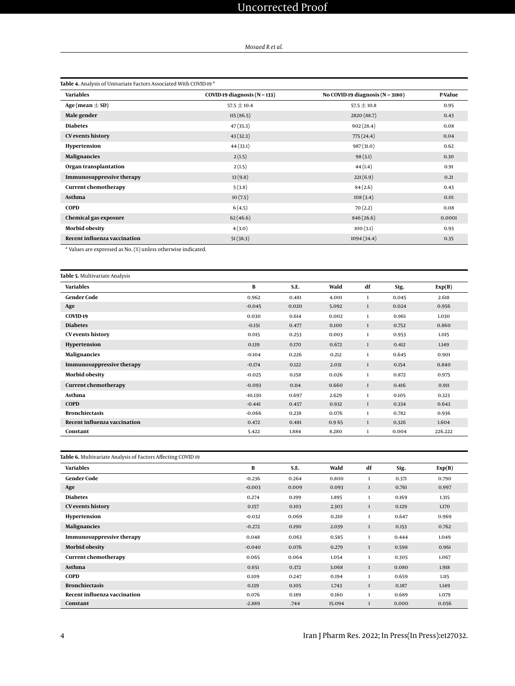# Uncorrected Proof

#### *Mosaed R et al.*

<span id="page-3-0"></span>

| Table 4. Analysis of Univariate Factors Associated With COVID-19 <sup>a</sup> |                                  |                                      |         |  |  |  |
|-------------------------------------------------------------------------------|----------------------------------|--------------------------------------|---------|--|--|--|
| <b>Variables</b>                                                              | COVID-19 diagnosis ( $N = 133$ ) | No COVID-19 diagnosis ( $N = 3180$ ) | P-Value |  |  |  |
| Age (mean $\pm$ SD)                                                           | $57.5 \pm 10.4$                  | $57.5 \pm 10.8$                      | 0.95    |  |  |  |
| Male gender                                                                   | 115(86.5)                        | 2820 (88.7)                          | 0.43    |  |  |  |
| <b>Diabetes</b>                                                               | 47(35.3)                         | 902(28.4)                            | 0.08    |  |  |  |
| CV events history                                                             | 43(32.3)                         | 775 (24.4)                           | 0.04    |  |  |  |
| Hypertension                                                                  | 44 (33.1)                        | 987 (31.0)                           | 0.62    |  |  |  |
| <b>Malignancies</b>                                                           | 2(1.5)                           | 98(3.1)                              | 0.30    |  |  |  |
| Organ transplantation                                                         | 2(1.5)                           | 44(1.4)                              | 0.91    |  |  |  |
| <b>Immunosuppressive therapy</b>                                              | 13(9.8)                          | 221(6.9)                             | 0.21    |  |  |  |
| <b>Current chemotherapy</b>                                                   | 5(3.8)                           | 84(2.6)                              | 0.43    |  |  |  |
| Asthma                                                                        | 10(7.5)                          | 108(3.4)                             | 0.01    |  |  |  |
| <b>COPD</b>                                                                   | 6(4.5)                           | 70(2.2)                              | 0.08    |  |  |  |
| Chemical gas exposure                                                         | 62(46.6)                         | 846 (26.6)                           | 0.0001  |  |  |  |
| <b>Morbid obesity</b>                                                         | 4(3.0)                           | 100(3.1)                             | 0.93    |  |  |  |
| <b>Recent influenza vaccination</b>                                           | 51(38.3)                         | 1094(34.4)                           | 0.35    |  |  |  |

<sup>a</sup> Values are expressed as No. (%) unless otherwise indicated.

| Table 5. Multivariate Analysis   |           |       |       |              |       |         |
|----------------------------------|-----------|-------|-------|--------------|-------|---------|
| <b>Variables</b>                 | B         | S.E.  | Wald  | df           | Sig.  | Exp(B)  |
| <b>Gender Code</b>               | 0.962     | 0.481 | 4.001 | 1            | 0.045 | 2.618   |
| Age                              | $-0.045$  | 0.020 | 5.092 | $\mathbf{1}$ | 0.024 | 0.956   |
| COVID-19                         | 0.030     | 0.614 | 0.002 | $\mathbf{1}$ | 0.961 | 1.030   |
| <b>Diabetes</b>                  | $-0.151$  | 0.477 | 0.100 | $\mathbf{1}$ | 0.752 | 0.860   |
| <b>CV</b> events history         | 0.015     | 0.253 | 0.003 | $\mathbf{1}$ | 0.953 | 1.015   |
| Hypertension                     | 0.139     | 0.170 | 0.672 | $\mathbf{1}$ | 0.412 | 1.149   |
| <b>Malignancies</b>              | $-0.104$  | 0.226 | 0.212 | $\mathbf{1}$ | 0.645 | 0.901   |
| <b>Immunosuppressive therapy</b> | $-0.174$  | 0.122 | 2.031 | $\mathbf{1}$ | 0.154 | 0.840   |
| <b>Morbid obesity</b>            | $-0.025$  | 0.158 | 0.026 | $\mathbf{1}$ | 0.872 | 0.975   |
| <b>Current chemotherapy</b>      | $-0.093$  | 0.114 | 0.660 | $\mathbf{1}$ | 0.416 | 0.911   |
| Asthma                           | $-10.130$ | 0.697 | 2.629 | $\mathbf{1}$ | 0.105 | 0.323   |
| <b>COPD</b>                      | $-0.441$  | 0.457 | 0.932 | 1            | 0.334 | 0.643   |
| <b>Bronchiectasis</b>            | $-0.066$  | 0.238 | 0.076 | $\mathbf{1}$ | 0.782 | 0.936   |
| Recent influenza vaccination     | 0.472     | 0.481 | 0.965 | $\mathbf{1}$ | 0.326 | 1.604   |
| Constant                         | 5.422     | 1.884 | 8.280 | 1            | 0.004 | 226.222 |

| Table 6. Multivariate Analysis of Factors Affecting COVID 19 |          |       |        |              |       |        |
|--------------------------------------------------------------|----------|-------|--------|--------------|-------|--------|
| <b>Variables</b>                                             | В        | S.E.  | Wald   | df           | Sig.  | Exp(B) |
| <b>Gender Code</b>                                           | $-0.236$ | 0.264 | 0.800  | $\mathbf{1}$ | 0.371 | 0.790  |
| Age                                                          | $-0.003$ | 0.009 | 0.093  | 1            | 0.761 | 0.997  |
| <b>Diabetes</b>                                              | 0.274    | 0.199 | 1.895  | $\mathbf{1}$ | 0.169 | 1.315  |
| <b>CV</b> events history                                     | 0.157    | 0.103 | 2.303  | $\mathbf{1}$ | 0.129 | 1.170  |
| Hypertension                                                 | $-0.032$ | 0.069 | 0.210  | $\mathbf{1}$ | 0.647 | 0.969  |
| <b>Malignancies</b>                                          | $-0.272$ | 0.190 | 2.039  | 1            | 0.153 | 0.762  |
| <b>Immunosuppressive therapy</b>                             | 0.048    | 0.063 | 0.585  | $\mathbf{1}$ | 0.444 | 1.049  |
| <b>Morbid obesity</b>                                        | $-0.040$ | 0.076 | 0.279  | 1            | 0.598 | 0.961  |
| <b>Current chemotherapy</b>                                  | 0.065    | 0.064 | 1.054  | $\mathbf{1}$ | 0.305 | 1.067  |
| Asthma                                                       | 0.651    | 0.372 | 3.068  | 1            | 0.080 | 1.918  |
| <b>COPD</b>                                                  | 0.109    | 0.247 | 0.194  | $\mathbf{1}$ | 0.659 | 1.115  |
| <b>Bronchiectasis</b>                                        | 0.139    | 0.105 | 1.743  | 1            | 0.187 | 1.149  |
| Recent influenza vaccination                                 | 0.076    | 0.189 | 0.160  | $\mathbf{1}$ | 0.689 | 1.079  |
| Constant                                                     | $-2.889$ | .744  | 15.094 | $\mathbf{1}$ | 0.000 | 0.056  |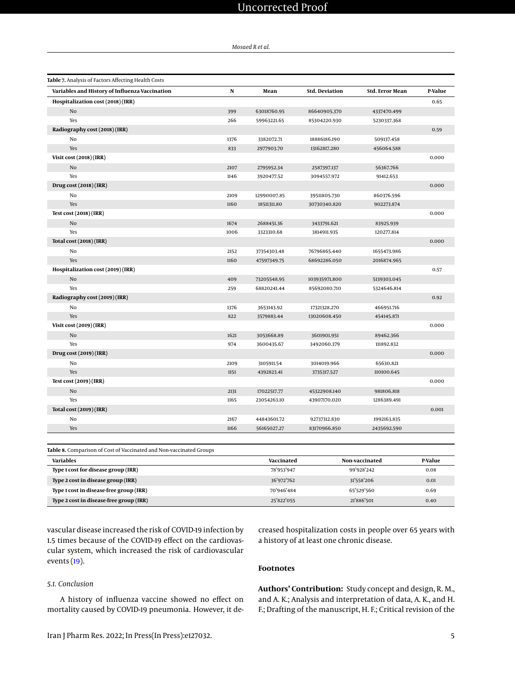# Uncorrected Proof

*Mosaed R et al.*

| Table 7. Analysis of Factors Affecting Health Costs |      |             |                       |                 |         |
|-----------------------------------------------------|------|-------------|-----------------------|-----------------|---------|
| Variables and History of Influenza Vaccination      | N    | Mean        | <b>Std. Deviation</b> | Std. Error Mean | P-Value |
| Hospitalization cost (2018) (IRR)                   |      |             |                       |                 | 0.65    |
| No                                                  | 399  | 63018760.95 | 86640905.370          | 4337470.499     |         |
| Yes                                                 | 266  | 59963221.65 | 85304220.930          | 5230337.368     |         |
| Radiography cost (2018) (IRR)                       |      |             |                       |                 | 0.59    |
| No                                                  | 1376 | 3382072.71  | 18886186.190          | 509137.458      |         |
| Yes                                                 | 833  | 2977903.70  | 13162817.280          | 456064.588      |         |
| Visit cost (2018) (IRR)                             |      |             |                       |                 | 0.000   |
| No                                                  | 2107 | 2795952.34  | 2587397.137           | 56367.766       |         |
| Yes                                                 | 1146 | 3920477.52  | 3094557.972           | 91412.653       |         |
| Drug cost (2018) (IRR)                              |      |             |                       |                 | 0.000   |
| No                                                  | 2109 | 12990007.85 | 39511805.730          | 860376.596      |         |
| Yes                                                 | 1160 | 18511311.80 | 30730340.820          | 902273.874      |         |
| <b>Test cost (2018) (IRR)</b>                       |      |             |                       |                 | 0.000   |
| No                                                  | 1674 | 2688451.36  | 3433791.621           | 83925.939       |         |
| Yes                                                 | 1006 | 3323310.68  | 3814911.935           | 120277.814      |         |
| Total cost (2018) (IRR)                             |      |             |                       |                 | 0.000   |
| No                                                  | 2152 | 37354303.48 | 76796865.440          | 1655473.986     |         |
| Yes                                                 | 1160 | 47597349.75 | 68692286.050          | 2016874.965     |         |
| Hospitalization cost (2019) (IRR)                   |      |             |                       |                 | 0.57    |
| No                                                  | 409  | 73205548.95 | 103935971.800         | 5139303.045     |         |
| Yes                                                 | 259  | 68820241.44 | 85692080.710          | 5324646.814     |         |
| Radiography cost (2019) (IRR)                       |      |             |                       |                 | 0.92    |
| No                                                  | 1376 | 3653143.92  | 17321328.270          | 466951.716      |         |
| Yes                                                 | 822  | 3579883.44  | 13020608.450          | 454145.871      |         |
| Visit cost (2019) (IRR)                             |      |             |                       |                 | 0.000   |
| No                                                  | 1621 | 3053668.89  | 3601901.951           | 89462.366       |         |
| Yes                                                 | 974  | 3600435.67  | 3492060.379           | 111892.832      |         |
| Drug cost (2019) (IRR)                              |      |             |                       |                 | 0.000   |
| No                                                  | 2109 | 3105911.54  | 3014019.966           | 65630.821       |         |
| Yes                                                 | 1151 | 4392823.41  | 3735317.527           | 110100.645      |         |
| Test cost (2019) (IRR)                              |      |             |                       |                 | 0.000   |
| No                                                  | 2131 | 17022517.77 | 45322908.140          | 981806.818      |         |
| Yes                                                 | 1165 | 23054263.10 | 43907170.020          | 1286389.491     |         |
| Total cost (2019) (IRR)                             |      |             |                       |                 | 0.001   |
| No                                                  | 2167 | 44843601.72 | 92737312.830          | 1992163.835     |         |
| Yes                                                 | 1166 | 56165027.27 | 83170966.850          | 2435692.590     |         |

<span id="page-4-0"></span>**Table 8.** Comparison of Cost of Vaccinated and Non-vaccinated Groups

| <b>Variables</b>                        | Vaccinated | Non-vaccinated | P-Value |
|-----------------------------------------|------------|----------------|---------|
| Type 1 cost for disease group (IRR)     | 78'953'947 | 99'928'242     | 0.08    |
| Type 2 cost in disease group (IRR)      | 36'972'762 | 31'558'206     | 0.01    |
| Type 1 cost in disease-free group (IRR) | 70'946'484 | 65'529'560     | 0.69    |
| Type 2 cost in disease-free group (IRR) | 25'822'055 | 21'886'501     | 0.40    |

vascular disease increased the risk of COVID-19 infection by 1.5 times because of the COVID-19 effect on the cardiovascular system, which increased the risk of cardiovascular events [\(19\)](#page-5-18).

### *5.1. Conclusion*

A history of influenza vaccine showed no effect on mortality caused by COVID-19 pneumonia. However, it decreased hospitalization costs in people over 65 years with a history of at least one chronic disease.

## **Footnotes**

**Authors' Contribution:** Study concept and design, R. M., and A. K.; Analysis and interpretation of data, A. K., and H. F.; Drafting of the manuscript, H. F.; Critical revision of the